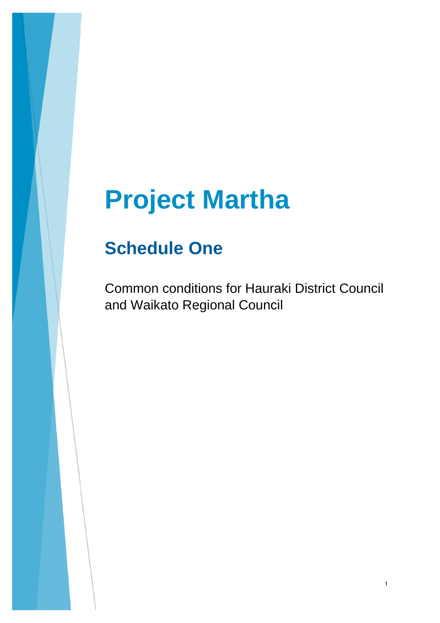# **Project Martha**

## **Schedule One**

Common conditions for Hauraki District Council and Waikato Regional Council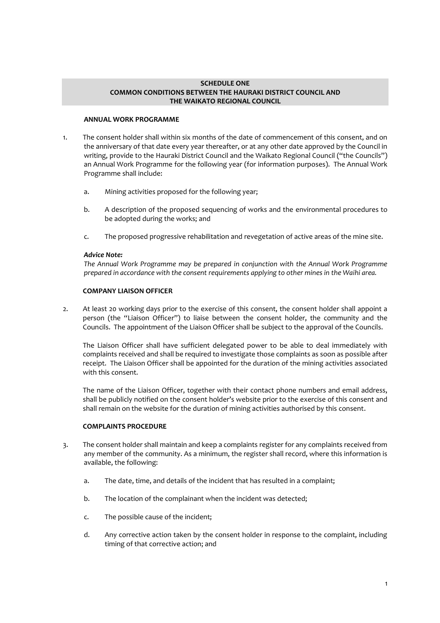#### **SCHEDULE ONE COMMON CONDITIONS BETWEEN THE HAURAKI DISTRICT COUNCIL AND THE WAIKATO REGIONAL COUNCIL**

#### **ANNUAL WORK PROGRAMME**

- 1. The consent holder shall within six months of the date of commencement of this consent, and on the anniversary of that date every year thereafter, or at any other date approved by the Council in writing, provide to the Hauraki District Council and the Waikato Regional Council ("the Councils") an Annual Work Programme for the following year (for information purposes). The Annual Work Programme shall include:
	- a. Mining activities proposed for the following year;
	- b. A description of the proposed sequencing of works and the environmental procedures to be adopted during the works; and
	- c. The proposed progressive rehabilitation and revegetation of active areas of the mine site.

#### *Advice Note:*

*The Annual Work Programme may be prepared in conjunction with the Annual Work Programme prepared in accordance with the consent requirements applying to other mines in the Waihi area.*

#### **COMPANY LIAISON OFFICER**

2. At least 20 working days prior to the exercise of this consent, the consent holder shall appoint a person (the "Liaison Officer") to liaise between the consent holder, the community and the Councils. The appointment of the Liaison Officer shall be subject to the approval of the Councils.

The Liaison Officer shall have sufficient delegated power to be able to deal immediately with complaints received and shall be required to investigate those complaints as soon as possible after receipt. The Liaison Officer shall be appointed for the duration of the mining activities associated with this consent.

The name of the Liaison Officer, together with their contact phone numbers and email address, shall be publicly notified on the consent holder's website prior to the exercise of this consent and shall remain on the website for the duration of mining activities authorised by this consent.

#### **COMPLAINTS PROCEDURE**

- 3. The consent holder shall maintain and keep a complaints register for any complaints received from any member of the community. As a minimum, the register shall record, where this information is available, the following:
	- a. The date, time, and details of the incident that has resulted in a complaint;
	- b. The location of the complainant when the incident was detected;
	- c. The possible cause of the incident;
	- d. Any corrective action taken by the consent holder in response to the complaint, including timing of that corrective action; and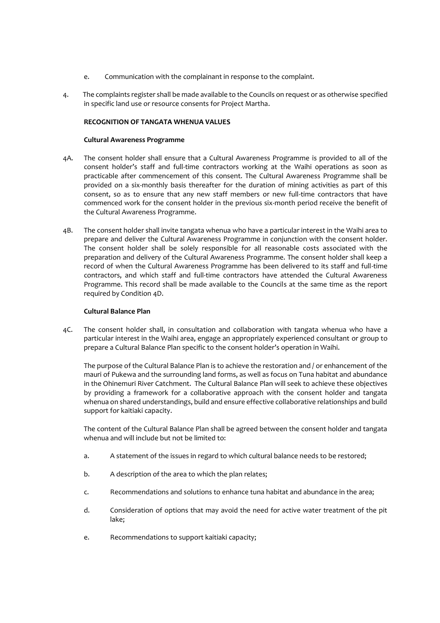- e. Communication with the complainant in response to the complaint.
- 4. The complaints register shall be made available to the Councils on request or as otherwise specified in specific land use or resource consents for Project Martha.

#### **RECOGNITION OF TANGATA WHENUA VALUES**

#### **Cultural Awareness Programme**

- 4A. The consent holder shall ensure that a Cultural Awareness Programme is provided to all of the consent holder's staff and full-time contractors working at the Waihi operations as soon as practicable after commencement of this consent. The Cultural Awareness Programme shall be provided on a six-monthly basis thereafter for the duration of mining activities as part of this consent, so as to ensure that any new staff members or new full-time contractors that have commenced work for the consent holder in the previous six-month period receive the benefit of the Cultural Awareness Programme.
- 4B. The consent holder shall invite tangata whenua who have a particular interest in the Waihi area to prepare and deliver the Cultural Awareness Programme in conjunction with the consent holder. The consent holder shall be solely responsible for all reasonable costs associated with the preparation and delivery of the Cultural Awareness Programme. The consent holder shall keep a record of when the Cultural Awareness Programme has been delivered to its staff and full-time contractors, and which staff and full-time contractors have attended the Cultural Awareness Programme. This record shall be made available to the Councils at the same time as the report required by Condition 4D.

#### **Cultural Balance Plan**

4C. The consent holder shall, in consultation and collaboration with tangata whenua who have a particular interest in the Waihi area, engage an appropriately experienced consultant or group to prepare a Cultural Balance Plan specific to the consent holder's operation in Waihi.

The purpose of the Cultural Balance Plan is to achieve the restoration and / or enhancement of the mauri of Pukewa and the surrounding land forms, as well as focus on Tuna habitat and abundance in the Ohinemuri River Catchment. The Cultural Balance Plan will seek to achieve these objectives by providing a framework for a collaborative approach with the consent holder and tangata whenua on shared understandings, build and ensure effective collaborative relationships and build support for kaitiaki capacity.

The content of the Cultural Balance Plan shall be agreed between the consent holder and tangata whenua and will include but not be limited to:

- a. A statement of the issues in regard to which cultural balance needs to be restored;
- b. A description of the area to which the plan relates;
- c. Recommendations and solutions to enhance tuna habitat and abundance in the area;
- d. Consideration of options that may avoid the need for active water treatment of the pit lake;
- e. Recommendations to support kaitiaki capacity;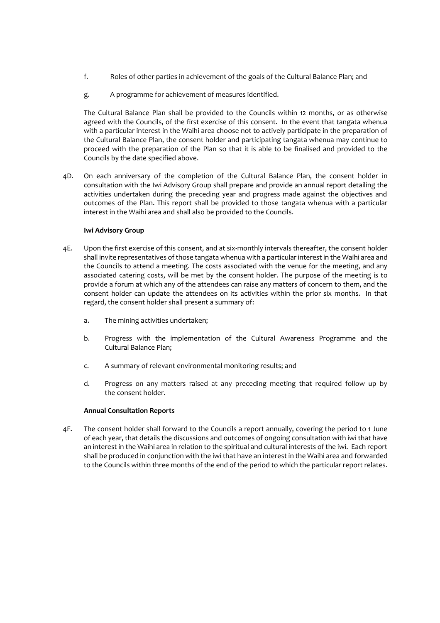- f. Roles of other parties in achievement of the goals of the Cultural Balance Plan; and
- g. A programme for achievement of measures identified.

The Cultural Balance Plan shall be provided to the Councils within 12 months, or as otherwise agreed with the Councils, of the first exercise of this consent. In the event that tangata whenua with a particular interest in the Waihi area choose not to actively participate in the preparation of the Cultural Balance Plan, the consent holder and participating tangata whenua may continue to proceed with the preparation of the Plan so that it is able to be finalised and provided to the Councils by the date specified above.

4D. On each anniversary of the completion of the Cultural Balance Plan, the consent holder in consultation with the Iwi Advisory Group shall prepare and provide an annual report detailing the activities undertaken during the preceding year and progress made against the objectives and outcomes of the Plan. This report shall be provided to those tangata whenua with a particular interest in the Waihi area and shall also be provided to the Councils.

#### **Iwi Advisory Group**

- 4E. Upon the first exercise of this consent, and at six-monthly intervals thereafter, the consent holder shall invite representatives of those tangata whenua with a particular interest in the Waihi area and the Councils to attend a meeting. The costs associated with the venue for the meeting, and any associated catering costs, will be met by the consent holder. The purpose of the meeting is to provide a forum at which any of the attendees can raise any matters of concern to them, and the consent holder can update the attendees on its activities within the prior six months. In that regard, the consent holder shall present a summary of:
	- a. The mining activities undertaken;
	- b. Progress with the implementation of the Cultural Awareness Programme and the Cultural Balance Plan;
	- c. A summary of relevant environmental monitoring results; and
	- d. Progress on any matters raised at any preceding meeting that required follow up by the consent holder.

#### **Annual Consultation Reports**

4F. The consent holder shall forward to the Councils a report annually, covering the period to 1 June of each year, that details the discussions and outcomes of ongoing consultation with iwi that have an interest in the Waihi area in relation to the spiritual and cultural interests of the iwi. Each report shall be produced in conjunction with the iwi that have an interest in the Waihi area and forwarded to the Councils within three months of the end of the period to which the particular report relates.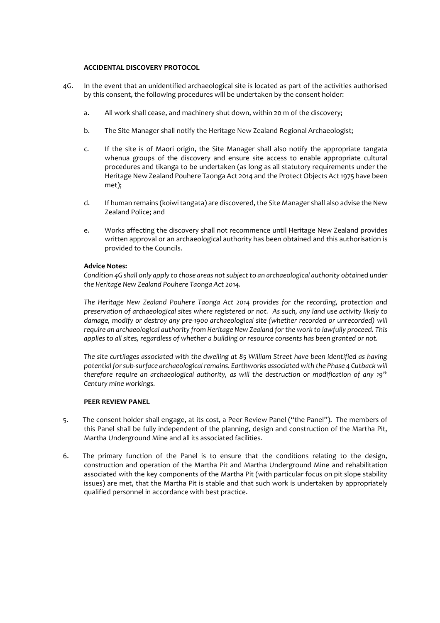#### **ACCIDENTAL DISCOVERY PROTOCOL**

- 4G. In the event that an unidentified archaeological site is located as part of the activities authorised by this consent, the following procedures will be undertaken by the consent holder:
	- a. All work shall cease, and machinery shut down, within 20 m of the discovery;
	- b. The Site Manager shall notify the Heritage New Zealand Regional Archaeologist;
	- c. If the site is of Maori origin, the Site Manager shall also notify the appropriate tangata whenua groups of the discovery and ensure site access to enable appropriate cultural procedures and tikanga to be undertaken (as long as all statutory requirements under the Heritage New Zealand Pouhere Taonga Act 2014 and the Protect Objects Act 1975 have been met);
	- d. If human remains (koiwi tangata) are discovered, the Site Manager shall also advise the New Zealand Police; and
	- e. Works affecting the discovery shall not recommence until Heritage New Zealand provides written approval or an archaeological authority has been obtained and this authorisation is provided to the Councils.

#### **Advice Notes:**

*Condition 4G shall only apply to those areas not subject to an archaeological authority obtained under the Heritage New Zealand Pouhere Taonga Act 2014.*

*The Heritage New Zealand Pouhere Taonga Act 2014 provides for the recording, protection and preservation of archaeological sites where registered or not. As such, any land use activity likely to damage, modify or destroy any pre-1900 archaeological site (whether recorded or unrecorded) will require an archaeological authority from Heritage New Zealand for the work to lawfully proceed. This applies to all sites, regardless of whether a building or resource consents has been granted or not.* 

*The site curtilages associated with the dwelling at 85 William Street have been identified as having potential for sub-surface archaeological remains. Earthworks associated with the Phase 4 Cutback will therefore require an archaeological authority, as will the destruction or modification of any 19th Century mine workings.*

#### **PEER REVIEW PANEL**

- 5. The consent holder shall engage, at its cost, a Peer Review Panel ("the Panel"). The members of this Panel shall be fully independent of the planning, design and construction of the Martha Pit, Martha Underground Mine and all its associated facilities.
- 6. The primary function of the Panel is to ensure that the conditions relating to the design, construction and operation of the Martha Pit and Martha Underground Mine and rehabilitation associated with the key components of the Martha Pit (with particular focus on pit slope stability issues) are met, that the Martha Pit is stable and that such work is undertaken by appropriately qualified personnel in accordance with best practice.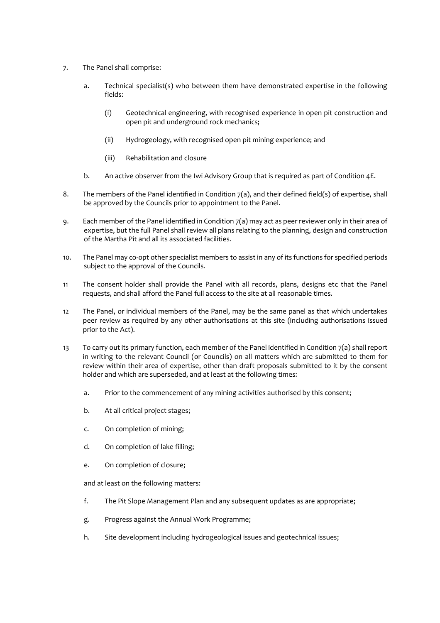- 7. The Panel shall comprise:
	- a. Technical specialist(s) who between them have demonstrated expertise in the following fields:
		- (i) Geotechnical engineering, with recognised experience in open pit construction and open pit and underground rock mechanics;
		- (ii) Hydrogeology, with recognised open pit mining experience; and
		- (iii) Rehabilitation and closure
	- b. An active observer from the Iwi Advisory Group that is required as part of Condition 4E.
- 8. The members of the Panel identified in Condition  $7(a)$ , and their defined field(s) of expertise, shall be approved by the Councils prior to appointment to the Panel.
- 9. Each member of the Panel identified in Condition 7(a) may act as peer reviewer only in their area of expertise, but the full Panel shall review all plans relating to the planning, design and construction of the Martha Pit and all its associated facilities.
- 10. The Panel may co-opt other specialist members to assist in any of its functions for specified periods subject to the approval of the Councils.
- 11 The consent holder shall provide the Panel with all records, plans, designs etc that the Panel requests, and shall afford the Panel full access to the site at all reasonable times.
- 12 The Panel, or individual members of the Panel, may be the same panel as that which undertakes peer review as required by any other authorisations at this site (including authorisations issued prior to the Act).
- 13 To carry out its primary function, each member of the Panel identified in Condition 7(a) shall report in writing to the relevant Council (or Councils) on all matters which are submitted to them for review within their area of expertise, other than draft proposals submitted to it by the consent holder and which are superseded, and at least at the following times:
	- a. Prior to the commencement of any mining activities authorised by this consent;
	- b. At all critical project stages;
	- c. On completion of mining;
	- d. On completion of lake filling;
	- e. On completion of closure;

and at least on the following matters:

- f. The Pit Slope Management Plan and any subsequent updates as are appropriate;
- g. Progress against the Annual Work Programme;
- h. Site development including hydrogeological issues and geotechnical issues;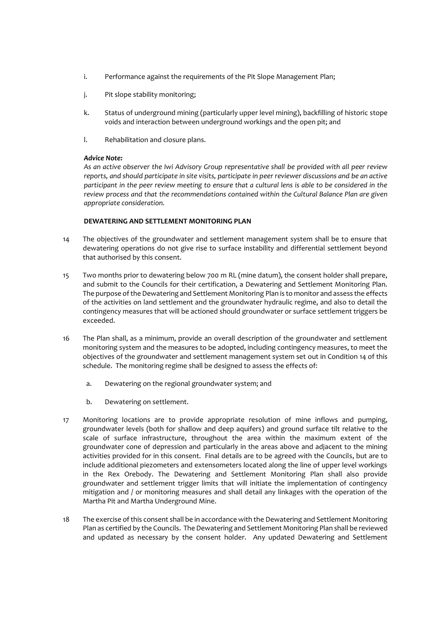- i. Performance against the requirements of the Pit Slope Management Plan;
- j. Pit slope stability monitoring;
- k. Status of underground mining (particularly upper level mining), backfilling of historic stope voids and interaction between underground workings and the open pit; and
- l. Rehabilitation and closure plans.

#### *Advice Note:*

*As an active observer the Iwi Advisory Group representative shall be provided with all peer review reports, and should participate in site visits, participate in peer reviewer discussions and be an active participant in the peer review meeting to ensure that a cultural lens is able to be considered in the review process and that the recommendations contained within the Cultural Balance Plan are given appropriate consideration.*

#### **DEWATERING AND SETTLEMENT MONITORING PLAN**

- 14 The objectives of the groundwater and settlement management system shall be to ensure that dewatering operations do not give rise to surface instability and differential settlement beyond that authorised by this consent.
- 15 Two months prior to dewatering below 700 m RL (mine datum), the consent holder shall prepare, and submit to the Councils for their certification, a Dewatering and Settlement Monitoring Plan. The purpose of the Dewatering and Settlement Monitoring Plan is to monitor and assess the effects of the activities on land settlement and the groundwater hydraulic regime, and also to detail the contingency measures that will be actioned should groundwater or surface settlement triggers be exceeded.
- 16 The Plan shall, as a minimum, provide an overall description of the groundwater and settlement monitoring system and the measures to be adopted, including contingency measures, to meet the objectives of the groundwater and settlement management system set out in Condition 14 of this schedule. The monitoring regime shall be designed to assess the effects of:
	- a. Dewatering on the regional groundwater system; and
	- b. Dewatering on settlement.
- 17 Monitoring locations are to provide appropriate resolution of mine inflows and pumping, groundwater levels (both for shallow and deep aquifers) and ground surface tilt relative to the scale of surface infrastructure, throughout the area within the maximum extent of the groundwater cone of depression and particularly in the areas above and adjacent to the mining activities provided for in this consent. Final details are to be agreed with the Councils, but are to include additional piezometers and extensometers located along the line of upper level workings in the Rex Orebody. The Dewatering and Settlement Monitoring Plan shall also provide groundwater and settlement trigger limits that will initiate the implementation of contingency mitigation and / or monitoring measures and shall detail any linkages with the operation of the Martha Pit and Martha Underground Mine.
- 18 The exercise of this consent shall be in accordance with the Dewatering and Settlement Monitoring Plan as certified by the Councils. The Dewatering and Settlement Monitoring Plan shall be reviewed and updated as necessary by the consent holder. Any updated Dewatering and Settlement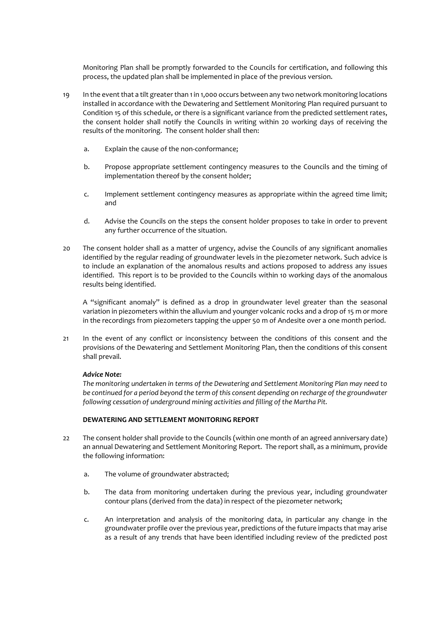Monitoring Plan shall be promptly forwarded to the Councils for certification, and following this process, the updated plan shall be implemented in place of the previous version.

- 19 In the event that a tilt greater than 1 in 1,000 occurs between any two network monitoring locations installed in accordance with the Dewatering and Settlement Monitoring Plan required pursuant to Condition 15 of this schedule, or there is a significant variance from the predicted settlement rates, the consent holder shall notify the Councils in writing within 20 working days of receiving the results of the monitoring. The consent holder shall then:
	- a. Explain the cause of the non-conformance;
	- b. Propose appropriate settlement contingency measures to the Councils and the timing of implementation thereof by the consent holder;
	- c. Implement settlement contingency measures as appropriate within the agreed time limit; and
	- d. Advise the Councils on the steps the consent holder proposes to take in order to prevent any further occurrence of the situation.
- 20 The consent holder shall as a matter of urgency, advise the Councils of any significant anomalies identified by the regular reading of groundwater levels in the piezometer network. Such advice is to include an explanation of the anomalous results and actions proposed to address any issues identified. This report is to be provided to the Councils within 10 working days of the anomalous results being identified.

A "significant anomaly" is defined as a drop in groundwater level greater than the seasonal variation in piezometers within the alluvium and younger volcanic rocks and a drop of 15 m or more in the recordings from piezometers tapping the upper 50 m of Andesite over a one month period.

21 In the event of any conflict or inconsistency between the conditions of this consent and the provisions of the Dewatering and Settlement Monitoring Plan, then the conditions of this consent shall prevail.

#### *Advice Note:*

*The monitoring undertaken in terms of the Dewatering and Settlement Monitoring Plan may need to be continued for a period beyond the term of this consent depending on recharge of the groundwater following cessation of underground mining activities and filling of the Martha Pit.* 

#### **DEWATERING AND SETTLEMENT MONITORING REPORT**

- 22 The consent holder shall provide to the Councils (within one month of an agreed anniversary date) an annual Dewatering and Settlement Monitoring Report. The report shall, as a minimum, provide the following information:
	- a. The volume of groundwater abstracted;
	- b. The data from monitoring undertaken during the previous year, including groundwater contour plans (derived from the data) in respect of the piezometer network;
	- c. An interpretation and analysis of the monitoring data, in particular any change in the groundwater profile over the previous year, predictions of the future impacts that may arise as a result of any trends that have been identified including review of the predicted post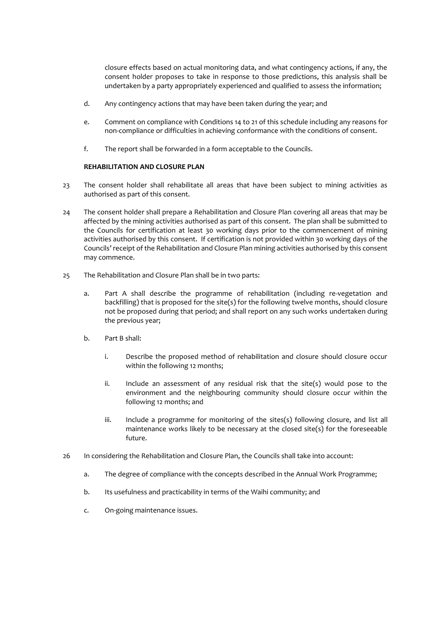closure effects based on actual monitoring data, and what contingency actions, if any, the consent holder proposes to take in response to those predictions, this analysis shall be undertaken by a party appropriately experienced and qualified to assess the information;

- d. Any contingency actions that may have been taken during the year; and
- e. Comment on compliance with Conditions 14 to 21 of this schedule including any reasons for non-compliance or difficulties in achieving conformance with the conditions of consent.
- f. The report shall be forwarded in a form acceptable to the Councils.

#### **REHABILITATION AND CLOSURE PLAN**

- 23 The consent holder shall rehabilitate all areas that have been subject to mining activities as authorised as part of this consent.
- 24 The consent holder shall prepare a Rehabilitation and Closure Plan covering all areas that may be affected by the mining activities authorised as part of this consent. The plan shall be submitted to the Councils for certification at least 30 working days prior to the commencement of mining activities authorised by this consent. If certification is not provided within 30 working days of the Councils' receipt of the Rehabilitation and Closure Plan mining activities authorised by this consent may commence.
- 25 The Rehabilitation and Closure Plan shall be in two parts:
	- a. Part A shall describe the programme of rehabilitation (including re-vegetation and backfilling) that is proposed for the site(s) for the following twelve months, should closure not be proposed during that period; and shall report on any such works undertaken during the previous year;
	- b. Part B shall:
		- i. Describe the proposed method of rehabilitation and closure should closure occur within the following 12 months;
		- ii. Include an assessment of any residual risk that the site(s) would pose to the environment and the neighbouring community should closure occur within the following 12 months; and
		- iii. Include a programme for monitoring of the sites(s) following closure, and list all maintenance works likely to be necessary at the closed site(s) for the foreseeable future.
- 26 In considering the Rehabilitation and Closure Plan, the Councils shall take into account:
	- a. The degree of compliance with the concepts described in the Annual Work Programme;
	- b. Its usefulness and practicability in terms of the Waihi community; and
	- c. On-going maintenance issues.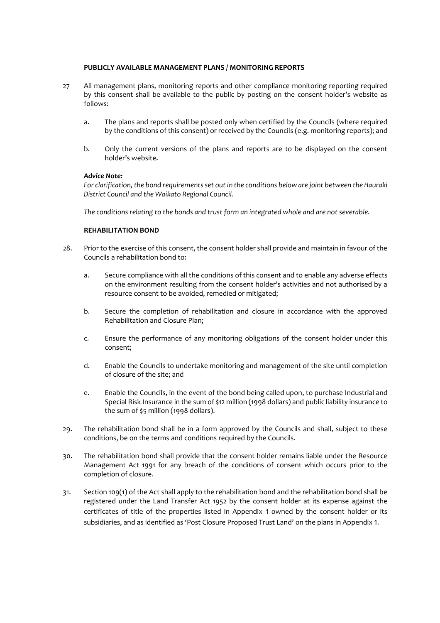#### **PUBLICLY AVAILABLE MANAGEMENT PLANS / MONITORING REPORTS**

- 27 All management plans, monitoring reports and other compliance monitoring reporting required by this consent shall be available to the public by posting on the consent holder's website as follows:
	- a. The plans and reports shall be posted only when certified by the Councils (where required by the conditions of this consent) or received by the Councils (e.g. monitoring reports); and
	- b. Only the current versions of the plans and reports are to be displayed on the consent holder's website*.*

#### *Advice Note:*

*For clarification, the bond requirements set out in the conditions below are joint between the Hauraki District Council and the Waikato Regional Council.*

*The conditions relating to the bonds and trust form an integrated whole and are not severable.* 

#### **REHABILITATION BOND**

- 28. Prior to the exercise of this consent, the consent holder shall provide and maintain in favour of the Councils a rehabilitation bond to:
	- a. Secure compliance with all the conditions of this consent and to enable any adverse effects on the environment resulting from the consent holder's activities and not authorised by a resource consent to be avoided, remedied or mitigated;
	- b. Secure the completion of rehabilitation and closure in accordance with the approved Rehabilitation and Closure Plan;
	- c. Ensure the performance of any monitoring obligations of the consent holder under this consent;
	- d. Enable the Councils to undertake monitoring and management of the site until completion of closure of the site; and
	- e. Enable the Councils, in the event of the bond being called upon, to purchase Industrial and Special Risk Insurance in the sum of \$12 million (1998 dollars) and public liability insurance to the sum of \$5 million (1998 dollars).
- 29. The rehabilitation bond shall be in a form approved by the Councils and shall, subject to these conditions, be on the terms and conditions required by the Councils.
- 30. The rehabilitation bond shall provide that the consent holder remains liable under the Resource Management Act 1991 for any breach of the conditions of consent which occurs prior to the completion of closure.
- 31. Section 109(1) of the Act shall apply to the rehabilitation bond and the rehabilitation bond shall be registered under the Land Transfer Act 1952 by the consent holder at its expense against the certificates of title of the properties listed in Appendix 1 owned by the consent holder or its subsidiaries, and as identified as 'Post Closure Proposed Trust Land' on the plans in Appendix 1.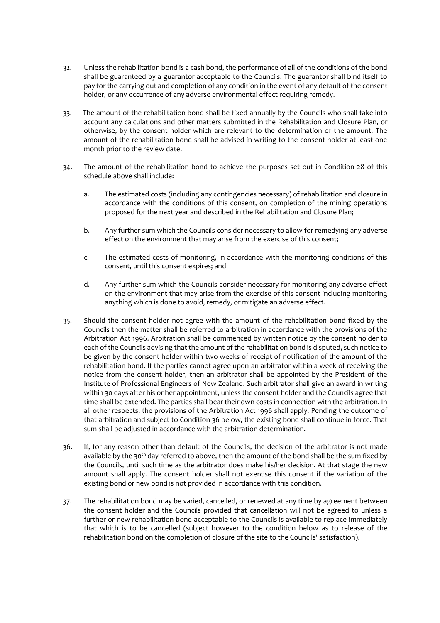- 32. Unless the rehabilitation bond is a cash bond, the performance of all of the conditions of the bond shall be guaranteed by a guarantor acceptable to the Councils. The guarantor shall bind itself to pay for the carrying out and completion of any condition in the event of any default of the consent holder, or any occurrence of any adverse environmental effect requiring remedy.
- 33. The amount of the rehabilitation bond shall be fixed annually by the Councils who shall take into account any calculations and other matters submitted in the Rehabilitation and Closure Plan, or otherwise, by the consent holder which are relevant to the determination of the amount. The amount of the rehabilitation bond shall be advised in writing to the consent holder at least one month prior to the review date.
- 34. The amount of the rehabilitation bond to achieve the purposes set out in Condition 28 of this schedule above shall include:
	- a. The estimated costs (including any contingencies necessary) of rehabilitation and closure in accordance with the conditions of this consent, on completion of the mining operations proposed for the next year and described in the Rehabilitation and Closure Plan;
	- b. Any further sum which the Councils consider necessary to allow for remedying any adverse effect on the environment that may arise from the exercise of this consent;
	- c. The estimated costs of monitoring, in accordance with the monitoring conditions of this consent, until this consent expires; and
	- d. Any further sum which the Councils consider necessary for monitoring any adverse effect on the environment that may arise from the exercise of this consent including monitoring anything which is done to avoid, remedy, or mitigate an adverse effect.
- 35. Should the consent holder not agree with the amount of the rehabilitation bond fixed by the Councils then the matter shall be referred to arbitration in accordance with the provisions of the Arbitration Act 1996. Arbitration shall be commenced by written notice by the consent holder to each of the Councils advising that the amount of the rehabilitation bond is disputed, such notice to be given by the consent holder within two weeks of receipt of notification of the amount of the rehabilitation bond. If the parties cannot agree upon an arbitrator within a week of receiving the notice from the consent holder, then an arbitrator shall be appointed by the President of the Institute of Professional Engineers of New Zealand. Such arbitrator shall give an award in writing within 30 days after his or her appointment, unless the consent holder and the Councils agree that time shall be extended. The parties shall bear their own costs in connection with the arbitration. In all other respects, the provisions of the Arbitration Act 1996 shall apply. Pending the outcome of that arbitration and subject to Condition 36 below, the existing bond shall continue in force. That sum shall be adjusted in accordance with the arbitration determination.
- 36. If, for any reason other than default of the Councils, the decision of the arbitrator is not made available by the 30<sup>th</sup> day referred to above, then the amount of the bond shall be the sum fixed by the Councils, until such time as the arbitrator does make his/her decision. At that stage the new amount shall apply. The consent holder shall not exercise this consent if the variation of the existing bond or new bond is not provided in accordance with this condition.
- 37. The rehabilitation bond may be varied, cancelled, or renewed at any time by agreement between the consent holder and the Councils provided that cancellation will not be agreed to unless a further or new rehabilitation bond acceptable to the Councils is available to replace immediately that which is to be cancelled (subject however to the condition below as to release of the rehabilitation bond on the completion of closure of the site to the Councils' satisfaction).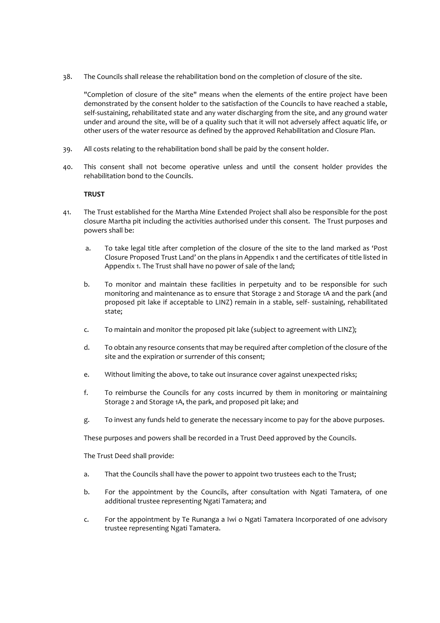38. The Councils shall release the rehabilitation bond on the completion of closure of the site.

"Completion of closure of the site" means when the elements of the entire project have been demonstrated by the consent holder to the satisfaction of the Councils to have reached a stable, self-sustaining, rehabilitated state and any water discharging from the site, and any ground water under and around the site, will be of a quality such that it will not adversely affect aquatic life, or other users of the water resource as defined by the approved Rehabilitation and Closure Plan.

- 39. All costs relating to the rehabilitation bond shall be paid by the consent holder.
- 40. This consent shall not become operative unless and until the consent holder provides the rehabilitation bond to the Councils.

#### **TRUST**

- 41. The Trust established for the Martha Mine Extended Project shall also be responsible for the post closure Martha pit including the activities authorised under this consent. The Trust purposes and powers shall be:
	- a. To take legal title after completion of the closure of the site to the land marked as 'Post Closure Proposed Trust Land' on the plans in Appendix 1 and the certificates of title listed in Appendix 1. The Trust shall have no power of sale of the land;
	- b. To monitor and maintain these facilities in perpetuity and to be responsible for such monitoring and maintenance as to ensure that Storage 2 and Storage 1A and the park (and proposed pit lake if acceptable to LINZ) remain in a stable, self- sustaining, rehabilitated state;
	- c. To maintain and monitor the proposed pit lake (subject to agreement with LINZ);
	- d. To obtain any resource consents that may be required after completion of the closure of the site and the expiration or surrender of this consent;
	- e. Without limiting the above, to take out insurance cover against unexpected risks;
	- f. To reimburse the Councils for any costs incurred by them in monitoring or maintaining Storage 2 and Storage 1A, the park, and proposed pit lake; and
	- g. To invest any funds held to generate the necessary income to pay for the above purposes.

These purposes and powers shall be recorded in a Trust Deed approved by the Councils.

The Trust Deed shall provide:

- a. That the Councils shall have the power to appoint two trustees each to the Trust;
- b. For the appointment by the Councils, after consultation with Ngati Tamatera, of one additional trustee representing Ngati Tamatera; and
- c. For the appointment by Te Runanga a Iwi o Ngati Tamatera Incorporated of one advisory trustee representing Ngati Tamatera.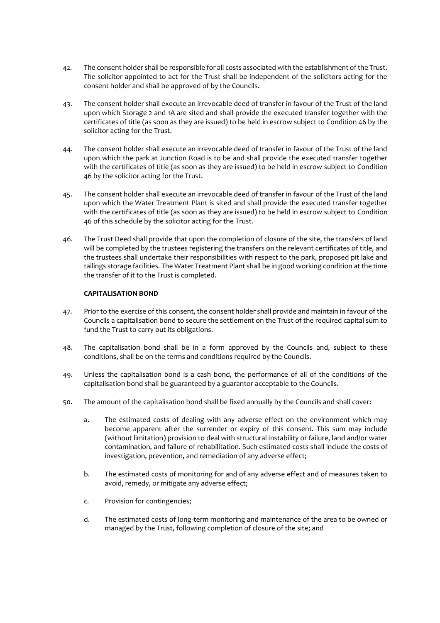- 42. The consent holder shall be responsible for all costs associated with the establishment of the Trust. The solicitor appointed to act for the Trust shall be independent of the solicitors acting for the consent holder and shall be approved of by the Councils.
- 43. The consent holder shall execute an irrevocable deed of transfer in favour of the Trust of the land upon which Storage 2 and 1A are sited and shall provide the executed transfer together with the certificates of title (as soon as they are issued) to be held in escrow subject to Condition 46 by the solicitor acting for the Trust.
- 44. The consent holder shall execute an irrevocable deed of transfer in favour of the Trust of the land upon which the park at Junction Road is to be and shall provide the executed transfer together with the certificates of title (as soon as they are issued) to be held in escrow subject to Condition 46 by the solicitor acting for the Trust.
- 45. The consent holder shall execute an irrevocable deed of transfer in favour of the Trust of the land upon which the Water Treatment Plant is sited and shall provide the executed transfer together with the certificates of title (as soon as they are issued) to be held in escrow subject to Condition 46 of this schedule by the solicitor acting for the Trust.
- 46. The Trust Deed shall provide that upon the completion of closure of the site, the transfers of land will be completed by the trustees registering the transfers on the relevant certificates of title, and the trustees shall undertake their responsibilities with respect to the park, proposed pit lake and tailings storage facilities. The Water Treatment Plant shall be in good working condition at the time the transfer of it to the Trust is completed.

#### **CAPITALISATION BOND**

- 47. Prior to the exercise of this consent, the consent holder shall provide and maintain in favour of the Councils a capitalisation bond to secure the settlement on the Trust of the required capital sum to fund the Trust to carry out its obligations.
- 48. The capitalisation bond shall be in a form approved by the Councils and, subject to these conditions, shall be on the terms and conditions required by the Councils.
- 49. Unless the capitalisation bond is a cash bond, the performance of all of the conditions of the capitalisation bond shall be guaranteed by a guarantor acceptable to the Councils.
- 50. The amount of the capitalisation bond shall be fixed annually by the Councils and shall cover:
	- a. The estimated costs of dealing with any adverse effect on the environment which may become apparent after the surrender or expiry of this consent. This sum may include (without limitation) provision to deal with structural instability or failure, land and/or water contamination, and failure of rehabilitation. Such estimated costs shall include the costs of investigation, prevention, and remediation of any adverse effect;
	- b. The estimated costs of monitoring for and of any adverse effect and of measures taken to avoid, remedy, or mitigate any adverse effect;
	- c. Provision for contingencies;
	- d. The estimated costs of long-term monitoring and maintenance of the area to be owned or managed by the Trust, following completion of closure of the site; and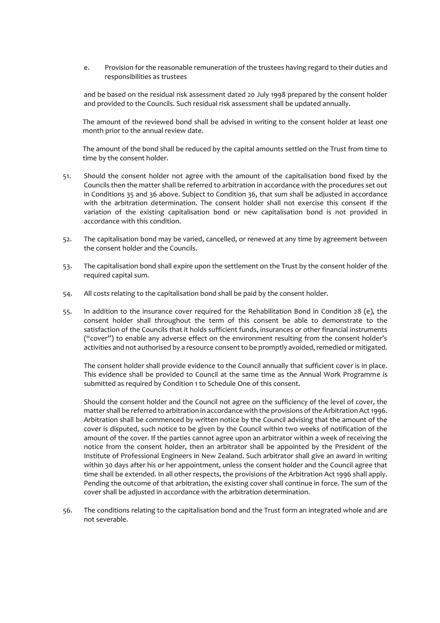e. Provision for the reasonable remuneration of the trustees having regard to their duties and responsibilities as trustees

and be based on the residual risk assessment dated 20 July 1998 prepared by the consent holder and provided to the Councils. Such residual risk assessment shall be updated annually.

The amount of the reviewed bond shall be advised in writing to the consent holder at least one month prior to the annual review date.

The amount of the bond shall be reduced by the capital amounts settled on the Trust from time to time by the consent holder.

- 51. Should the consent holder not agree with the amount of the capitalisation bond fixed by the Councils then the matter shall be referred to arbitration in accordance with the procedures set out in Conditions 35 and 36 above. Subject to Condition 36, that sum shall be adjusted in accordance with the arbitration determination. The consent holder shall not exercise this consent if the variation of the existing capitalisation bond or new capitalisation bond is not provided in accordance with this condition.
- 52. The capitalisation bond may be varied, cancelled, or renewed at any time by agreement between the consent holder and the Councils.
- 53. The capitalisation bond shall expire upon the settlement on the Trust by the consent holder of the required capital sum.
- 54. All costs relating to the capitalisation bond shall be paid by the consent holder.
- 55. In addition to the insurance cover required for the Rehabilitation Bond in Condition 28 (e), the consent holder shall throughout the term of this consent be able to demonstrate to the satisfaction of the Councils that it holds sufficient funds, insurances or other financial instruments ("cover") to enable any adverse effect on the environment resulting from the consent holder's activities and not authorised by a resource consent to be promptly avoided, remedied or mitigated.

The consent holder shall provide evidence to the Council annually that sufficient cover is in place. This evidence shall be provided to Council at the same time as the Annual Work Programme is submitted as required by Condition 1 to Schedule One of this consent.

Should the consent holder and the Council not agree on the sufficiency of the level of cover, the matter shall be referred to arbitration in accordance with the provisions of the Arbitration Act 1996. Arbitration shall be commenced by written notice by the Council advising that the amount of the cover is disputed, such notice to be given by the Council within two weeks of notification of the amount of the cover. If the parties cannot agree upon an arbitrator within a week of receiving the notice from the consent holder, then an arbitrator shall be appointed by the President of the Institute of Professional Engineers in New Zealand. Such arbitrator shall give an award in writing within 30 days after his or her appointment, unless the consent holder and the Council agree that time shall be extended. In all other respects, the provisions of the Arbitration Act 1996 shall apply. Pending the outcome of that arbitration, the existing cover shall continue in force. The sum of the cover shall be adjusted in accordance with the arbitration determination.

56. The conditions relating to the capitalisation bond and the Trust form an integrated whole and are not severable.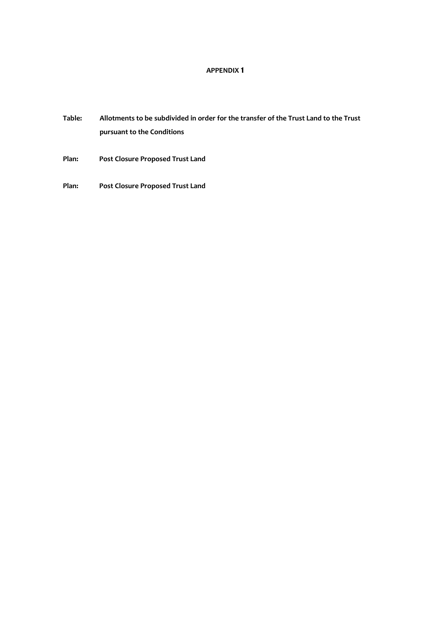### **APPENDIX 1**

- **Table: Allotments to be subdivided in order for the transfer of the Trust Land to the Trust pursuant to the Conditions**
- **Plan: Post Closure Proposed Trust Land**
- **Plan: Post Closure Proposed Trust Land**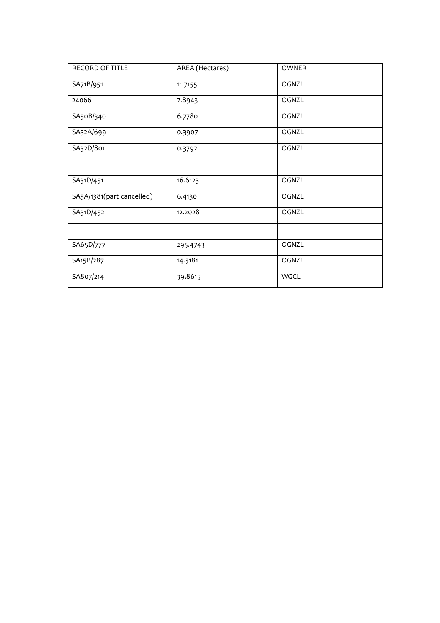| <b>RECORD OF TITLE</b>    | AREA (Hectares) | <b>OWNER</b> |
|---------------------------|-----------------|--------------|
| SA71B/951                 | 11.7155         | OGNZL        |
| 24066                     | 7.8943          | OGNZL        |
| SA50B/340                 | 6.7780          | OGNZL        |
| SA32A/699                 | 0.3907          | OGNZL        |
| SA32D/801                 | 0.3792          | OGNZL        |
|                           |                 |              |
| SA31D/451                 | 16.6123         | OGNZL        |
| SA5A/1381(part cancelled) | 6.4130          | OGNZL        |
| SA31D/452                 | 12.2028         | OGNZL        |
|                           |                 |              |
| SA65D/777                 | 295.4743        | OGNZL        |
| SA15B/287                 | 14.5181         | OGNZL        |
| SA807/214                 | 39.8615         | WGCL         |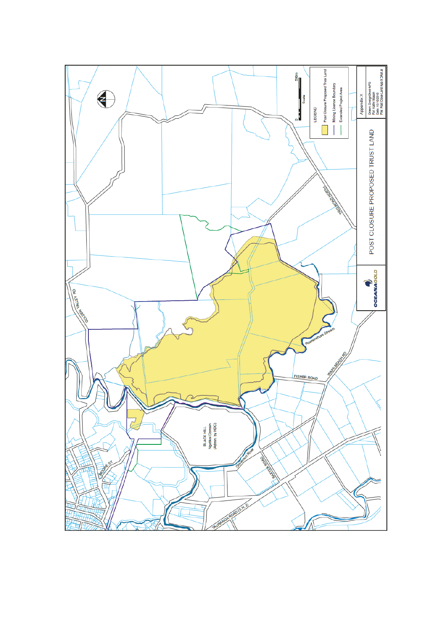